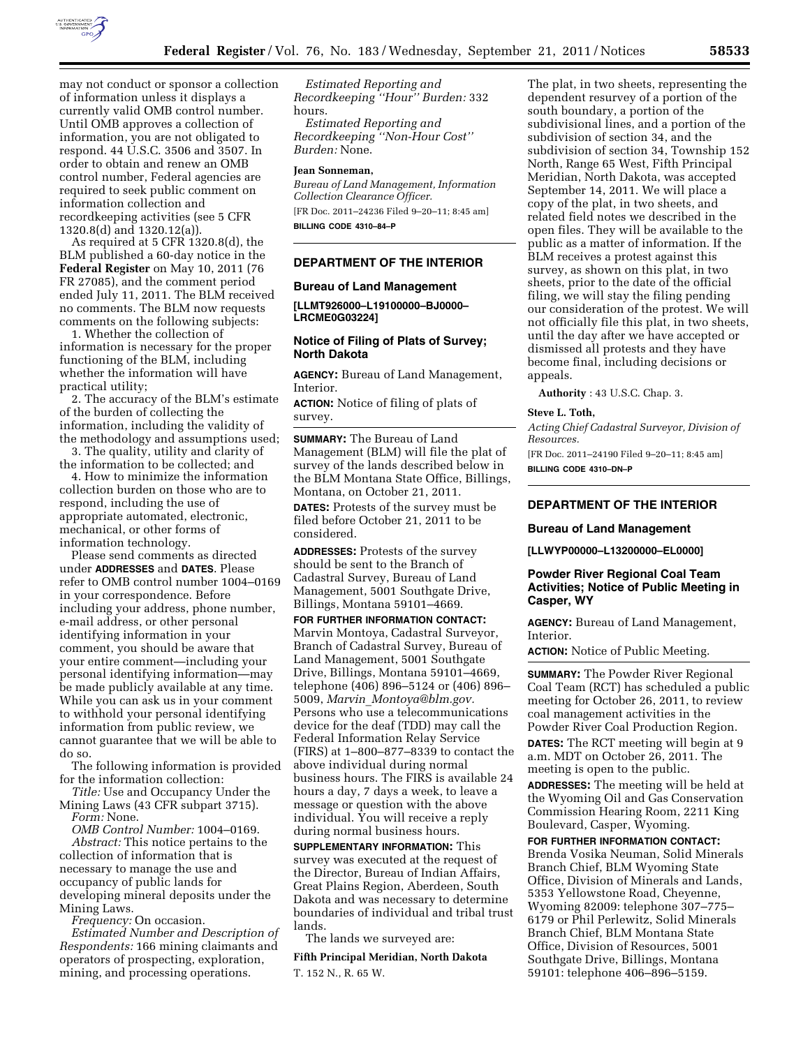

may not conduct or sponsor a collection of information unless it displays a currently valid OMB control number. Until OMB approves a collection of information, you are not obligated to respond. 44 U.S.C. 3506 and 3507. In order to obtain and renew an OMB control number, Federal agencies are required to seek public comment on information collection and recordkeeping activities (see 5 CFR 1320.8(d) and 1320.12(a)).

As required at 5 CFR 1320.8(d), the BLM published a 60-day notice in the **Federal Register** on May 10, 2011 (76 FR 27085), and the comment period ended July 11, 2011. The BLM received no comments. The BLM now requests comments on the following subjects:

1. Whether the collection of information is necessary for the proper functioning of the BLM, including whether the information will have practical utility;

2. The accuracy of the BLM's estimate of the burden of collecting the information, including the validity of the methodology and assumptions used;

3. The quality, utility and clarity of the information to be collected; and

4. How to minimize the information collection burden on those who are to respond, including the use of appropriate automated, electronic, mechanical, or other forms of information technology.

Please send comments as directed under **ADDRESSES** and **DATES**. Please refer to OMB control number 1004–0169 in your correspondence. Before including your address, phone number, e-mail address, or other personal identifying information in your comment, you should be aware that your entire comment—including your personal identifying information—may be made publicly available at any time. While you can ask us in your comment to withhold your personal identifying information from public review, we cannot guarantee that we will be able to do so.

The following information is provided for the information collection:

*Title:* Use and Occupancy Under the Mining Laws (43 CFR subpart 3715). *Form:* None.

*OMB Control Number:* 1004–0169. *Abstract:* This notice pertains to the collection of information that is necessary to manage the use and occupancy of public lands for developing mineral deposits under the Mining Laws.

*Frequency:* On occasion.

*Estimated Number and Description of Respondents:* 166 mining claimants and operators of prospecting, exploration, mining, and processing operations.

*Estimated Reporting and Recordkeeping ''Hour'' Burden:* 332 hours.

*Estimated Reporting and Recordkeeping ''Non-Hour Cost'' Burden:* None.

### **Jean Sonneman,**

*Bureau of Land Management, Information Collection Clearance Officer.*  [FR Doc. 2011–24236 Filed 9–20–11; 8:45 am] **BILLING CODE 4310–84–P** 

# **DEPARTMENT OF THE INTERIOR**

### **Bureau of Land Management**

**[LLMT926000–L19100000–BJ0000– LRCME0G03224]** 

# **Notice of Filing of Plats of Survey; North Dakota**

**AGENCY:** Bureau of Land Management, Interior.

**ACTION:** Notice of filing of plats of survey.

**SUMMARY:** The Bureau of Land Management (BLM) will file the plat of survey of the lands described below in the BLM Montana State Office, Billings, Montana, on October 21, 2011. **DATES:** Protests of the survey must be filed before October 21, 2011 to be considered.

**ADDRESSES:** Protests of the survey should be sent to the Branch of Cadastral Survey, Bureau of Land Management, 5001 Southgate Drive, Billings, Montana 59101–4669.

**FOR FURTHER INFORMATION CONTACT:**  Marvin Montoya, Cadastral Surveyor, Branch of Cadastral Survey, Bureau of Land Management, 5001 Southgate Drive, Billings, Montana 59101–4669, telephone (406) 896–5124 or (406) 896– 5009, *Marvin*\_*[Montoya@blm.gov.](mailto:Marvin_Montoya@blm.gov)*  Persons who use a telecommunications device for the deaf (TDD) may call the Federal Information Relay Service (FIRS) at 1–800–877–8339 to contact the above individual during normal business hours. The FIRS is available 24 hours a day, 7 days a week, to leave a message or question with the above individual. You will receive a reply during normal business hours.

**SUPPLEMENTARY INFORMATION:** This survey was executed at the request of the Director, Bureau of Indian Affairs, Great Plains Region, Aberdeen, South Dakota and was necessary to determine boundaries of individual and tribal trust lands.

The lands we surveyed are:

**Fifth Principal Meridian, North Dakota**  T. 152 N., R. 65 W.

The plat, in two sheets, representing the dependent resurvey of a portion of the south boundary, a portion of the subdivisional lines, and a portion of the subdivision of section 34, and the subdivision of section 34, Township 152 North, Range 65 West, Fifth Principal Meridian, North Dakota, was accepted September 14, 2011. We will place a copy of the plat, in two sheets, and related field notes we described in the open files. They will be available to the public as a matter of information. If the BLM receives a protest against this survey, as shown on this plat, in two sheets, prior to the date of the official filing, we will stay the filing pending our consideration of the protest. We will not officially file this plat, in two sheets, until the day after we have accepted or dismissed all protests and they have become final, including decisions or appeals.

**Authority** : 43 U.S.C. Chap. 3.

#### **Steve L. Toth,**

*Acting Chief Cadastral Surveyor, Division of Resources.* 

[FR Doc. 2011–24190 Filed 9–20–11; 8:45 am] **BILLING CODE 4310–DN–P** 

### **DEPARTMENT OF THE INTERIOR**

### **Bureau of Land Management**

**[LLWYP00000–L13200000–EL0000]** 

## **Powder River Regional Coal Team Activities; Notice of Public Meeting in Casper, WY**

**AGENCY:** Bureau of Land Management, Interior.

**ACTION:** Notice of Public Meeting.

**SUMMARY:** The Powder River Regional Coal Team (RCT) has scheduled a public meeting for October 26, 2011, to review coal management activities in the Powder River Coal Production Region.

**DATES:** The RCT meeting will begin at 9 a.m. MDT on October 26, 2011. The meeting is open to the public.

**ADDRESSES:** The meeting will be held at the Wyoming Oil and Gas Conservation Commission Hearing Room, 2211 King Boulevard, Casper, Wyoming.

**FOR FURTHER INFORMATION CONTACT:**  Brenda Vosika Neuman, Solid Minerals Branch Chief, BLM Wyoming State Office, Division of Minerals and Lands, 5353 Yellowstone Road, Cheyenne, Wyoming 82009: telephone 307–775– 6179 or Phil Perlewitz, Solid Minerals Branch Chief, BLM Montana State Office, Division of Resources, 5001 Southgate Drive, Billings, Montana 59101: telephone 406–896–5159.